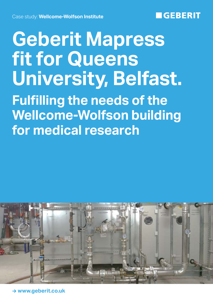## **GEBERIT**

# **Geberit Mapress fit for Queens University, Belfast. Fulfilling the needs of the Wellcome-Wolfson building for medical research**



**→ www.geberit.co.uk**